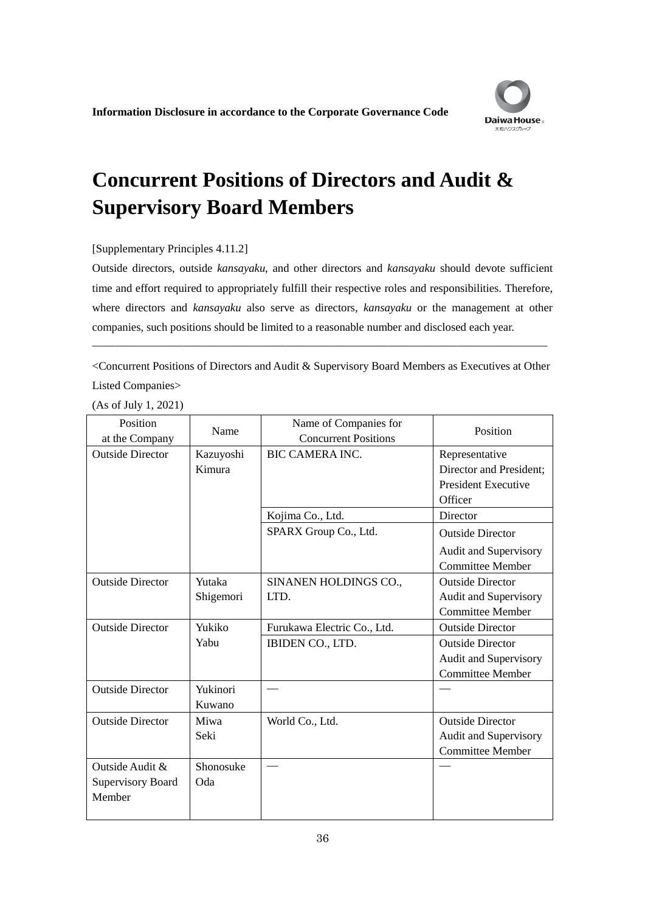

## **Concurrent Positions of Directors and Audit & Supervisory Board Members**

## [Supplementary Principles 4.11.2]

Outside directors, outside *kansayaku*, and other directors and *kansayaku* should devote sufficient time and effort required to appropriately fulfill their respective roles and responsibilities. Therefore, where directors and *kansayaku* also serve as directors, *kansayaku* or the management at other companies, such positions should be limited to a reasonable number and disclosed each year.

<Concurrent Positions of Directors and Audit & Supervisory Board Members as Executives at Other Listed Companies>

――――――――――――――――――――――――――――――――――――――――

(As of July 1, 2021)

| Position<br>at the Company                            | Name                | Name of Companies for<br><b>Concurrent Positions</b> | Position                                                                           |
|-------------------------------------------------------|---------------------|------------------------------------------------------|------------------------------------------------------------------------------------|
| <b>Outside Director</b>                               | Kazuyoshi<br>Kimura | <b>BIC CAMERA INC.</b>                               | Representative<br>Director and President;<br><b>President Executive</b><br>Officer |
|                                                       |                     | Kojima Co., Ltd.                                     | Director                                                                           |
|                                                       |                     | SPARX Group Co., Ltd.                                | <b>Outside Director</b><br><b>Audit and Supervisory</b><br><b>Committee Member</b> |
| <b>Outside Director</b>                               | Yutaka<br>Shigemori | SINANEN HOLDINGS CO.,<br>LTD.                        | <b>Outside Director</b><br>Audit and Supervisory<br><b>Committee Member</b>        |
| <b>Outside Director</b>                               | Yukiko              | Furukawa Electric Co., Ltd.                          | <b>Outside Director</b>                                                            |
|                                                       | Yabu                | IBIDEN CO., LTD.                                     | <b>Outside Director</b><br>Audit and Supervisory<br><b>Committee Member</b>        |
| <b>Outside Director</b>                               | Yukinori<br>Kuwano  |                                                      |                                                                                    |
| <b>Outside Director</b>                               | Miwa<br>Seki        | World Co., Ltd.                                      | <b>Outside Director</b><br>Audit and Supervisory<br><b>Committee Member</b>        |
| Outside Audit &<br><b>Supervisory Board</b><br>Member | Shonosuke<br>Oda    |                                                      |                                                                                    |